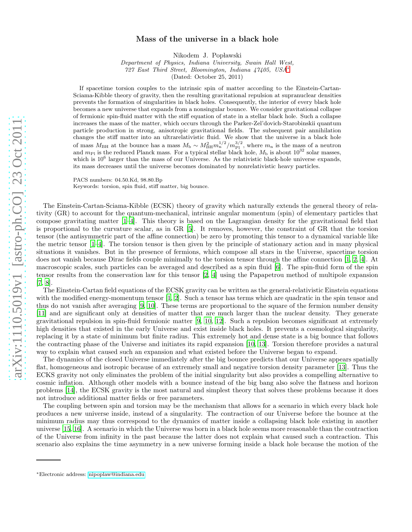## arXiv:1110.5019v1 [astro-ph.CO] 23 Oct 2011 [arXiv:1110.5019v1 \[astro-ph.CO\] 23 Oct 2011](http://arxiv.org/abs/1110.5019v1)

## Mass of the universe in a black hole

Nikodem J. Popławski

Department of Physics, Indiana University, Swain Hall West, 727 East Third Street, Bloomington, Indiana 47405, USA[∗](#page-0-0) (Dated: October 25, 2011)

If spacetime torsion couples to the intrinsic spin of matter according to the Einstein-Cartan-Sciama-Kibble theory of gravity, then the resulting gravitational repulsion at supranuclear densities prevents the formation of singularities in black holes. Consequently, the interior of every black hole becomes a new universe that expands from a nonsingular bounce. We consider gravitational collapse of fermionic spin-fluid matter with the stiff equation of state in a stellar black hole. Such a collapse increases the mass of the matter, which occurs through the Parker-Zel'dovich-Starobinskii quantum particle production in strong, anisotropic gravitational fields. The subsequent pair annihilation changes the stiff matter into an ultrarelativistic fluid. We show that the universe in a black hole of mass  $M_{\rm BH}$  at the bounce has a mass  $M_{\rm b} \sim M_{\rm BH}^2 m_{\rm n}^{1/2} / m_{\rm Pl}^{3/2}$ , where  $m_{\rm n}$  is the mass of a neutron and  $m_{\rm Pl}$  is the reduced Planck mass. For a typical stellar black hole,  $M_{\rm b}$  is about  $10$ which is  $10^6$  larger than the mass of our Universe. As the relativistic black-hole universe expands, its mass decreases until the universe becomes dominated by nonrelativistic heavy particles.

PACS numbers: 04.50.Kd, 98.80.Bp Keywords: torsion, spin fluid, stiff matter, big bounce.

The Einstein-Cartan-Sciama-Kibble (ECSK) theory of gravity which naturally extends the general theory of relativity (GR) to account for the quantum-mechanical, intrinsic angular momentum (spin) of elementary particles that compose gravitating matter [\[1](#page-3-0)[–4](#page-3-1)]. This theory is based on the Lagrangian density for the gravitational field that is proportional to the curvature scalar, as in GR [\[5](#page-3-2)]. It removes, however, the constraint of GR that the torsion tensor (the antisymmetric part of the affine connection) be zero by promoting this tensor to a dynamical variable like the metric tensor [\[1](#page-3-0)[–4\]](#page-3-1). The torsion tensor is then given by the principle of stationary action and in many physical situations it vanishes. But in the presence of fermions, which compose all stars in the Universe, spacetime torsion does not vanish because Dirac fields couple minimally to the torsion tensor through the affine connection [\[1,](#page-3-0) [2](#page-3-3), [4](#page-3-1)]. At macroscopic scales, such particles can be averaged and described as a spin fluid [\[6\]](#page-3-4). The spin-fluid form of the spin tensor results from the conservation law for this tensor [\[2,](#page-3-3) [4\]](#page-3-1) using the Papapetrou method of multipole expansion [\[7,](#page-3-5) [8\]](#page-3-6).

The Einstein-Cartan field equations of the ECSK gravity can be written as the general-relativistic Einstein equations with the modified energy-momentum tensor [\[1](#page-3-0), [2\]](#page-3-3). Such a tensor has terms which are quadratic in the spin tensor and thus do not vanish after averaging [\[9,](#page-3-7) [10\]](#page-3-8). These terms are proportional to the square of the fermion number density [\[11\]](#page-3-9) and are significant only at densities of matter that are much larger than the nuclear density. They generate gravitational repulsion in spin-fluid fermionic matter [\[9,](#page-3-7) [10](#page-3-8), [12\]](#page-3-10). Such a repulsion becomes significant at extremely high densities that existed in the early Universe and exist inside black holes. It prevents a cosmological singularity, replacing it by a state of minimum but finite radius. This extremely hot and dense state is a big bounce that follows the contracting phase of the Universe and initiates its rapid expansion [\[10](#page-3-8), [13\]](#page-3-11). Torsion therefore provides a natural way to explain what caused such an expansion and what existed before the Universe began to expand.

The dynamics of the closed Universe immediately after the big bounce predicts that our Universe appears spatially flat, homogeneous and isotropic because of an extremely small and negative torsion density parameter [\[13](#page-3-11)]. Thus the ECKS gravity not only eliminates the problem of the initial singularity but also provides a compelling alternative to cosmic inflation. Although other models with a bounce instead of the big bang also solve the flatness and horizon problems [\[14\]](#page-3-12), the ECSK gravity is the most natural and simplest theory that solves these problems because it does not introduce additional matter fields or free parameters.

The coupling between spin and torsion may be the mechanism that allows for a scenario in which every black hole produces a new universe inside, instead of a singularity. The contraction of our Universe before the bounce at the minimum radius may thus correspond to the dynamics of matter inside a collapsing black hole existing in another universe [\[15,](#page-3-13) [16\]](#page-3-14). A scenario in which the Universe was born in a black hole seems more reasonable than the contraction of the Universe from infinity in the past because the latter does not explain what caused such a contraction. This scenario also explains the time asymmetry in a new universe forming inside a black hole because the motion of the

<span id="page-0-0"></span><sup>∗</sup>Electronic address: [nipoplaw@indiana.edu](mailto:nipoplaw@indiana.edu)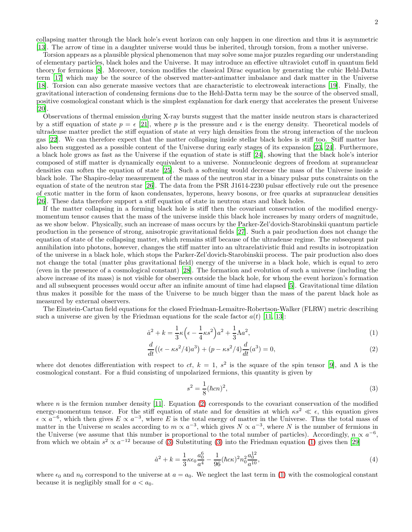collapsing matter through the black hole's event horizon can only happen in one direction and thus it is asymmetric [\[13\]](#page-3-11). The arrow of time in a daughter universe would thus be inherited, through torsion, from a mother universe.

Torsion appears as a plausible physical phenomenon that may solve some major puzzles regarding our understanding of elementary particles, black holes and the Universe. It may introduce an effective ultraviolet cutoff in quantum field theory for fermions [\[8\]](#page-3-6). Moreover, torsion modifies the classical Dirac equation by generating the cubic Hehl-Datta term [\[17\]](#page-3-15) which may be the source of the observed matter-antimatter imbalance and dark matter in the Universe [\[18\]](#page-3-16). Torsion can also generate massive vectors that are characteristic to electroweak interactions [\[19\]](#page-3-17). Finally, the gravitational interaction of condensing fermions due to the Hehl-Datta term may be the source of the observed small, positive cosmological constant which is the simplest explanation for dark energy that accelerates the present Universe [\[20\]](#page-3-18).

Observations of thermal emission during X-ray bursts suggest that the matter inside neutron stars is characterized by a stiff equation of state  $p = \epsilon$  [\[21](#page-3-19)], where p is the pressure and  $\epsilon$  is the energy density. Theoretical models of ultradense matter predict the stiff equation of state at very high densities from the strong interaction of the nucleon gas [\[22\]](#page-3-20). We can therefore expect that the matter collapsing inside stellar black holes is stiff too. Stiff matter has also been suggested as a possible content of the Universe during early stages of its expansion [\[23](#page-3-21), [24](#page-3-22)]. Furthermore, a black hole grows as fast as the Universe if the equation of state is stiff [\[24](#page-3-22)], showing that the black hole's interior composed of stiff matter is dynamically equivalent to a universe. Nonnucleonic degrees of freedom at supranuclear densities can soften the equation of state [\[25\]](#page-3-23). Such a softening would decrease the mass of the Universe inside a black hole. The Shapiro-delay measurement of the mass of the neutron star in a binary pulsar puts constraints on the equation of state of the neutron star [\[26\]](#page-3-24). The data from the PSR J1614-2230 pulsar effectively rule out the presence of exotic matter in the form of kaon condensates, hyperons, heavy bosons, or free quarks at supranuclear densities [\[26\]](#page-3-24). These data therefore support a stiff equation of state in neutron stars and black holes.

If the matter collapsing in a forming black hole is stiff then the covariant conservation of the modified energymomentum tensor causes that the mass of the universe inside this black hole increases by many orders of magnitude, as we show below. Physically, such an increase of mass occurs by the Parker-Zel'dovich-Starobinskii quantum particle production in the presence of strong, anisotropic gravitational fields [\[27\]](#page-3-25). Such a pair production does not change the equation of state of the collapsing matter, which remains stiff because of the ultradense regime. The subsequent pair annihilation into photons, however, changes the stiff matter into an ultrarelativistic fluid and results in isotropization of the universe in a black hole, which stops the Parker-Zel'dovich-Starobinskii process. The pair production also does not change the total (matter plus gravitational field) energy of the universe in a black hole, which is equal to zero (even in the presence of a cosmological constant) [\[28\]](#page-3-26). The formation and evolution of such a universe (including the above increase of its mass) is not visible for observers outside the black hole, for whom the event horizon's formation and all subsequent processes would occur after an infinite amount of time had elapsed [\[5\]](#page-3-2). Gravitational time dilation thus makes it possible for the mass of the Universe to be much bigger than the mass of the parent black hole as measured by external observers.

The Einstein-Cartan field equations for the closed Friedman-Lemaître-Robertson-Walker (FLRW) metric describing such a universe are given by the Friedman equations for the scale factor  $a(t)$  [\[11,](#page-3-9) [13\]](#page-3-11):

<span id="page-1-0"></span>
$$
\dot{a}^2 + k = \frac{1}{3}\kappa \left(\epsilon - \frac{1}{4}\kappa s^2\right)a^2 + \frac{1}{3}\Lambda a^2,\tag{1}
$$

$$
\frac{d}{dt}\left((\epsilon - \kappa s^2/4)a^3\right) + (p - \kappa s^2/4)\frac{d}{dt}(a^3) = 0,\tag{2}
$$

where dot denotes differentiation with respect to  $ct$ ,  $k = 1$ ,  $s^2$  is the square of the spin tensor [\[9\]](#page-3-7), and  $\Lambda$  is the cosmological constant. For a fluid consisting of unpolarized fermions, this quantity is given by

<span id="page-1-1"></span>
$$
s^2 = \frac{1}{8}(\hbar c n)^2,\tag{3}
$$

where n is the fermion number density [\[11](#page-3-9)]. Equation [\(2\)](#page-1-0) corresponds to the covariant conservation of the modified energy-momentum tensor. For the stiff equation of state and for densities at which  $\kappa s^2 \ll \epsilon$ , this equation gives  $\epsilon \propto a^{-6}$ , which then gives  $E \propto a^{-3}$ , where E is the total energy of matter in the Universe. Thus the total mass of matter in the Universe m scales according to  $m \propto a^{-3}$ , which gives  $N \propto a^{-3}$ , where N is the number of fermions in the Universe (we assume that this number is proportional to the total number of particles). Accordingly,  $n \propto a^{-6}$ , from which we obtain  $s^2 \propto a^{-12}$  because of [\(3\)](#page-1-1) Substituting (3) into the Friedman equation [\(1\)](#page-1-0) gives then [\[29](#page-3-27)]

<span id="page-1-2"></span>
$$
\dot{a}^2 + k = \frac{1}{3}\kappa\epsilon_0 \frac{a_0^6}{a^4} - \frac{1}{96}(\hbar c\kappa)^2 n_0^2 \frac{a_0^{12}}{a^{10}},\tag{4}
$$

where  $\epsilon_0$  and  $n_0$  correspond to the universe at  $a = a_0$ . We neglect the last term in [\(1\)](#page-1-0) with the cosmological constant because it is negligibly small for  $a < a_0$ .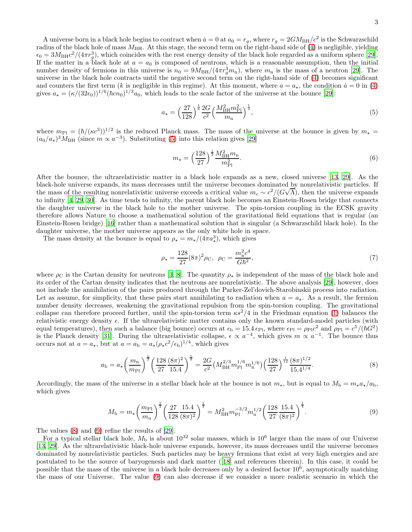A universe born in a black hole begins to contract when  $\dot{a}=0$  at  $a_0=r_g$ , where  $r_g=2GM_{\rm BH}/c^2$  is the Schwarzschild radius of the black hole of mass  $M_{\rm BH}$ . At this stage, the second term on the right-hand side of [\(4\)](#page-1-2) is negligible, yielding  $\epsilon_0 = 3M_{\rm BH}c^2/(4\pi r_g^3)$ , which coincides with the rest energy density of the black hole regarded as a uniform sphere [\[29\]](#page-3-27). If the matter in a black hole at  $a = a_0$  is composed of neutrons, which is a reasonable assumption, then the initial number density of fermions in this universe is  $n_0 = 9M_{\text{BH}}/(4\pi r_g^3 m_{\text{n}})$ , where  $m_{\text{n}}$  is the mass of a neutron [\[29\]](#page-3-27). The universe in the black hole contracts until the negative second term on the right-hand side of [\(4\)](#page-1-2) becomes significant and counters the first term (k is negligible in this regime). At this moment, where  $a = a<sub>*</sub>$ , the condition  $\dot{a} = 0$  in [\(4\)](#page-1-2) gives  $a_{\star} = (\kappa/(32\epsilon_0))^{1/6}(\hbar c n_0)^{1/3}a_0$ , which leads to the scale factor of the universe at the bounce [\[29\]](#page-3-27):

<span id="page-2-0"></span>
$$
a_{\star} = \left(\frac{27}{128}\right)^{\frac{1}{6}} \frac{2G}{c^2} \left(\frac{M_{\rm BH}^2 m_{\rm Pl}^2}{m_{\rm n}}\right)^{\frac{1}{3}},\tag{5}
$$

where  $m_{\rm Pl} = (\hbar/(\kappa c^3))^{1/2}$  is the reduced Planck mass. The mass of the universe at the bounce is given by  $m_{\star} =$  $(a_0/a_\star)^3 \tilde{M}_{\text{BH}}$  (since  $m \propto a^{-3}$ ). Substituting [\(5\)](#page-2-0) into this relation gives [\[29\]](#page-3-27)

$$
m_{\star} = \left(\frac{128}{27}\right)^{\frac{1}{2}} \frac{M_{\rm BH}^2 m_{\rm n}}{m_{\rm Pl}^2}.
$$
 (6)

After the bounce, the ultrarelativistic matter in a black hole expands as a new, closed universe [\[13](#page-3-11), [29](#page-3-27)]. As the black-hole universe expands, its mass decreases until the universe becomes dominated by nonrelativistic particles. If the mass of the resulting nonrelativistic universe exceeds a critical value  $m_c \sim c^2/(\overline{G}\sqrt{\Lambda})$ , then the universe expands to infinity [\[4,](#page-3-1) [29](#page-3-27), [30\]](#page-3-28). As time tends to infinity, the parent black hole becomes an Einstein-Rosen bridge that connects the daughter universe in the black hole to the mother universe. The spin-torsion coupling in the ECSK gravity therefore allows Nature to choose a mathematical solution of the gravitational field equations that is regular (an Einstein-Rosen bridge) [\[16\]](#page-3-14) rather than a mathematical solution that is singular (a Schwarzschild black hole). In the daughter universe, the mother universe appears as the only white hole in space.

The mass density at the bounce is equal to  $\rho_{\star} = m_{\star}/(4\pi a_{\star}^{3})$ , which gives

$$
\rho_{\star} = \frac{128}{27} (8\pi)^2 \rho_{\rm C}, \ \rho_{\rm C} = \frac{m_{\rm n}^2 c^4}{G\hbar^2}, \tag{7}
$$

where  $\rho_C$  is the Cartan density for neutrons [\[3,](#page-3-29) [8\]](#page-3-6). The quantity  $\rho_{\star}$  is independent of the mass of the black hole and its order of the Cartan density indicates that the neutrons are nonrelativistic. The above analysis [\[29\]](#page-3-27), however, does not include the annihilation of the pairs produced through the Parker-Zel'dovich-Starobinskii process into radiation. Let as assume, for simplicity, that these pairs start annihilating to radiation when  $a = a_{\star}$ . As a result, the fermion number density decreases, weakening the gravitational repulsion from the spin-torsion coupling. The gravitational collapse can therefore proceed further, until the spin-torsion term  $\kappa s^2/4$  in the Friedman equation [\(1\)](#page-1-0) balances the relativistic energy density  $\epsilon$ . If the ultrarelativistic matter contains only the known standard-model particles (with equal temperatures), then such a balance (big bounce) occurs at  $\epsilon_b = 15.4 \epsilon_{\text{Pl}}$ , where  $\epsilon_{\text{Pl}} = \rho_{\text{Pl}} c^2$  and  $\rho_{\text{Pl}} = c^5/(\hbar G^2)$ is the Planck density [\[31](#page-3-30)]. During the ultrarelativistic collapse,  $\epsilon \propto a^{-4}$ , which gives  $m \propto a^{-1}$ . The bounce thus occurs not at  $a = a_{\star}$ , but at  $a = a_{\rm b} = a_{\star} (\rho_{\star} c^2/\epsilon_{\rm b})^{1/4}$ , which gives

<span id="page-2-1"></span>
$$
a_{\rm b} = a_{\star} \left(\frac{m_{\rm n}}{m_{\rm Pl}}\right)^{\frac{1}{2}} \left(\frac{128}{27} \frac{(8\pi)^2}{15.4}\right)^{\frac{1}{4}} = \frac{2G}{c^2} \left(M_{\rm BH}^{2/3} m_{\rm Pl}^{1/6} m_{\rm n}^{1/6}\right) \left(\frac{128}{27}\right)^{\frac{1}{12}} \frac{(8\pi)^{1/2}}{15.4^{1/4}}.\tag{8}
$$

Accordingly, the mass of the universe in a stellar black hole at the bounce is not  $m_{\star}$ , but is equal to  $M_{\rm b} = m_{\star} a_{\star}/a_{\rm b}$ , which gives

<span id="page-2-2"></span>
$$
M_{\rm b} = m_{\star} \left(\frac{m_{\rm Pl}}{m_{\rm n}}\right)^{\frac{1}{2}} \left(\frac{27}{128} \frac{15.4}{(8\pi)^2}\right)^{\frac{1}{4}} = M_{\rm BH}^2 m_{\rm Pl}^{-3/2} m_{\rm n}^{1/2} \left(\frac{128}{27} \frac{15.4}{(8\pi)^2}\right)^{\frac{1}{4}}.
$$
 (9)

The values [\(8\)](#page-2-1) and [\(9\)](#page-2-2) refine the results of [\[29\]](#page-3-27).

For a typical stellar black hole,  $M<sub>b</sub>$  is about 10<sup>32</sup> solar masses, which is 10<sup>6</sup> larger than the mass of our Universe [\[13,](#page-3-11) [29\]](#page-3-27). As the ultrarelativistic black-hole universe expands, however, its mass decreases until the universe becomes dominated by nonrelativistic particles. Such particles may be heavy fermions that exist at very high energies and are postulated to be the source of baryogenesis and dark matter ([\[18\]](#page-3-16) and references therein). In this case, it could be possible that the mass of the universe in a black hole decreases only by a desired factor  $10^6$ , asymptotically matching the mass of our Universe. The value [\(9\)](#page-2-2) can also decrease if we consider a more realistic scenario in which the